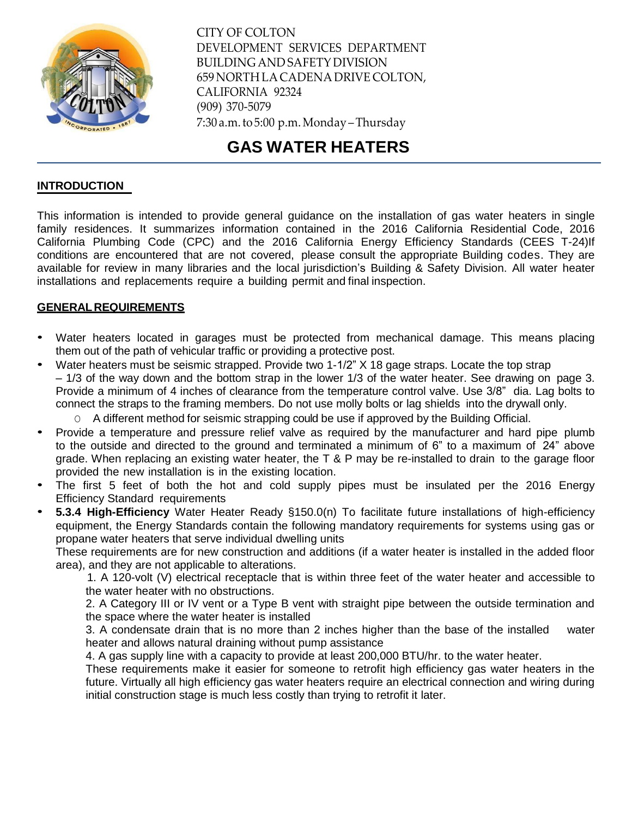

CITY OF COLTON DEVELOPMENT SERVICES DEPARTMENT BUILDING AND SAFETY DIVISION 659 NORTH LACADENA DRIVE COLTON, CALIFORNIA 92324 (909) 370-5079 7:30 a.m.to 5:00 p.m.Monday –Thursday

# **GAS WATER HEATERS**

#### **INTRODUCTION**

This information is intended to provide general guidance on the installation of gas water heaters in single family residences. It summarizes information contained in the 2016 California Residential Code, 2016 California Plumbing Code (CPC) and the 2016 California Energy Efficiency Standards (CEES T-24)If conditions are encountered that are not covered, please consult the appropriate Building codes. They are available for review in many libraries and the local jurisdiction's Building & Safety Division. All water heater installations and replacements require a building permit and final inspection.

#### **GENERALREQUIREMENTS**

- Water heaters located in garages must be protected from mechanical damage. This means placing them out of the path of vehicular traffic or providing a protective post.
- Water heaters must be seismic strapped. Provide two 1-1/2" X 18 gage straps. Locate the top strap – 1/3 of the way down and the bottom strap in the lower 1/3 of the water heater. See drawing on page 3. Provide a minimum of 4 inches of clearance from the temperature control valve. Use 3/8" dia. Lag bolts to connect the straps to the framing members. Do not use molly bolts or lag shields into the drywall only.

O A different method for seismic strapping could be use if approved by the Building Official.

- Provide a temperature and pressure relief valve as required by the manufacturer and hard pipe plumb to the outside and directed to the ground and terminated a minimum of 6" to a maximum of 24" above grade. When replacing an existing water heater, the T & P may be re-installed to drain to the garage floor provided the new installation is in the existing location.
- The first 5 feet of both the hot and cold supply pipes must be insulated per the 2016 Energy Efficiency Standard requirements
- **5.3.4 High-Efficiency** Water Heater Ready §150.0(n) To facilitate future installations of high-efficiency equipment, the Energy Standards contain the following mandatory requirements for systems using gas or propane water heaters that serve individual dwelling units

These requirements are for new construction and additions (if a water heater is installed in the added floor area), and they are not applicable to alterations.

 1. A 120-volt (V) electrical receptacle that is within three feet of the water heater and accessible to the water heater with no obstructions.

2. A Category III or IV vent or a Type B vent with straight pipe between the outside termination and the space where the water heater is installed

3. A condensate drain that is no more than 2 inches higher than the base of the installed water heater and allows natural draining without pump assistance

4. A gas supply line with a capacity to provide at least 200,000 BTU/hr. to the water heater.

These requirements make it easier for someone to retrofit high efficiency gas water heaters in the future. Virtually all high efficiency gas water heaters require an electrical connection and wiring during initial construction stage is much less costly than trying to retrofit it later.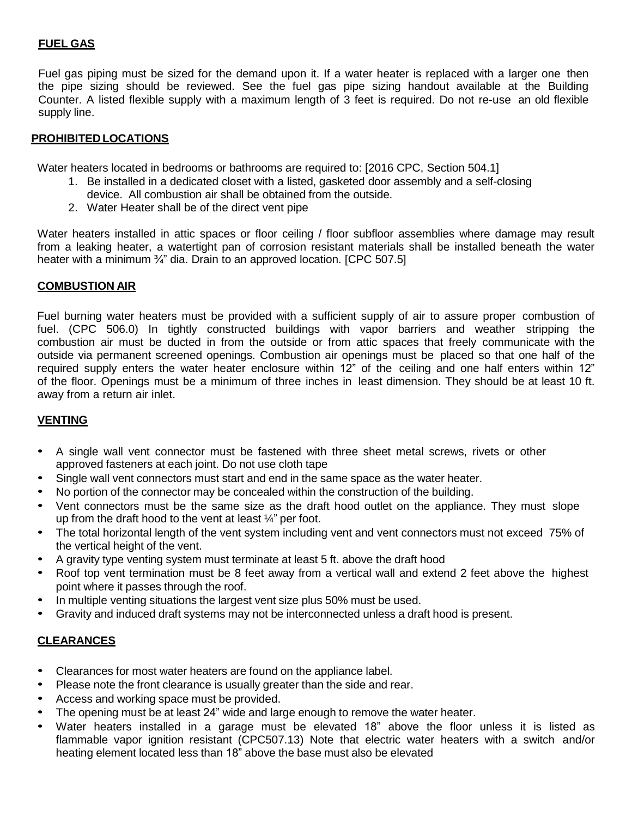# **FUEL GAS**

Fuel gas piping must be sized for the demand upon it. If a water heater is replaced with a larger one then the pipe sizing should be reviewed. See the fuel gas pipe sizing handout available at the Building Counter. A listed flexible supply with a maximum length of 3 feet is required. Do not re-use an old flexible supply line.

## **PROHIBITEDLOCATIONS**

Water heaters located in bedrooms or bathrooms are required to: [2016 CPC, Section 504.1]

- 1. Be installed in a dedicated closet with a listed, gasketed door assembly and a self-closing
	- device. All combustion air shall be obtained from the outside.
- 2. Water Heater shall be of the direct vent pipe

Water heaters installed in attic spaces or floor ceiling / floor subfloor assemblies where damage may result from a leaking heater, a watertight pan of corrosion resistant materials shall be installed beneath the water heater with a minimum 3/4" dia. Drain to an approved location. [CPC 507.5]

### **COMBUSTION AIR**

Fuel burning water heaters must be provided with a sufficient supply of air to assure proper combustion of fuel. (CPC 506.0) In tightly constructed buildings with vapor barriers and weather stripping the combustion air must be ducted in from the outside or from attic spaces that freely communicate with the outside via permanent screened openings. Combustion air openings must be placed so that one half of the required supply enters the water heater enclosure within 12" of the ceiling and one half enters within 12" of the floor. Openings must be a minimum of three inches in least dimension. They should be at least 10 ft. away from a return air inlet.

### **VENTING**

- A single wall vent connector must be fastened with three sheet metal screws, rivets or other approved fasteners at each joint. Do not use cloth tape
- Single wall vent connectors must start and end in the same space as the water heater.
- No portion of the connector may be concealed within the construction of the building.
- Vent connectors must be the same size as the draft hood outlet on the appliance. They must slope up from the draft hood to the vent at least ¼" per foot.
- The total horizontal length of the vent system including vent and vent connectors must not exceed 75% of the vertical height of the vent.
- A gravity type venting system must terminate at least 5 ft. above the draft hood
- Roof top vent termination must be 8 feet away from a vertical wall and extend 2 feet above the highest point where it passes through the roof.
- In multiple venting situations the largest vent size plus 50% must be used.
- Gravity and induced draft systems may not be interconnected unless a draft hood is present.

## **CLEARANCES**

- Clearances for most water heaters are found on the appliance label.
- Please note the front clearance is usually greater than the side and rear.
- Access and working space must be provided.
- The opening must be at least 24" wide and large enough to remove the water heater.
- Water heaters installed in a garage must be elevated 18" above the floor unless it is listed as flammable vapor ignition resistant (CPC507.13) Note that electric water heaters with a switch and/or heating element located less than 18" above the base must also be elevated